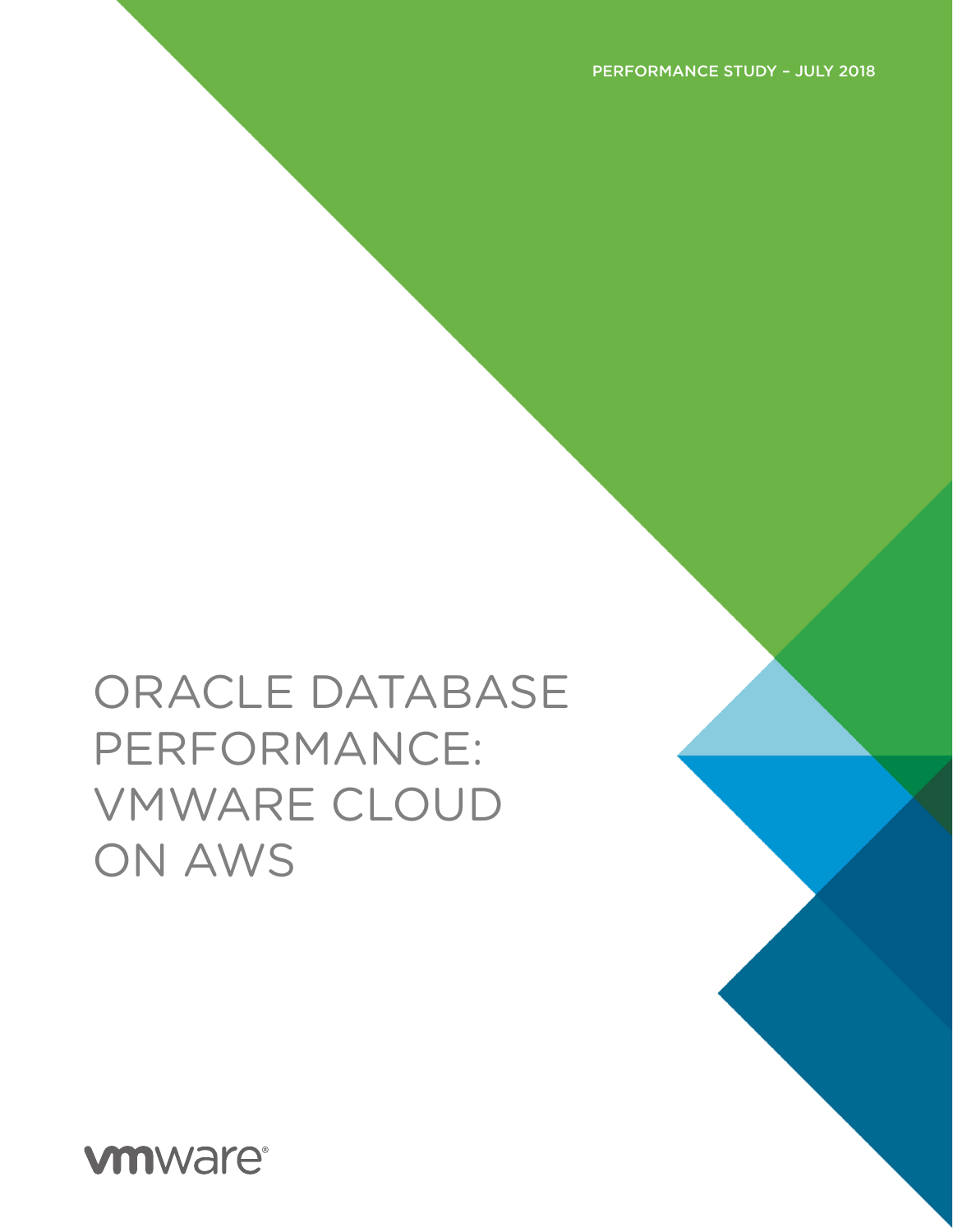**vmware®**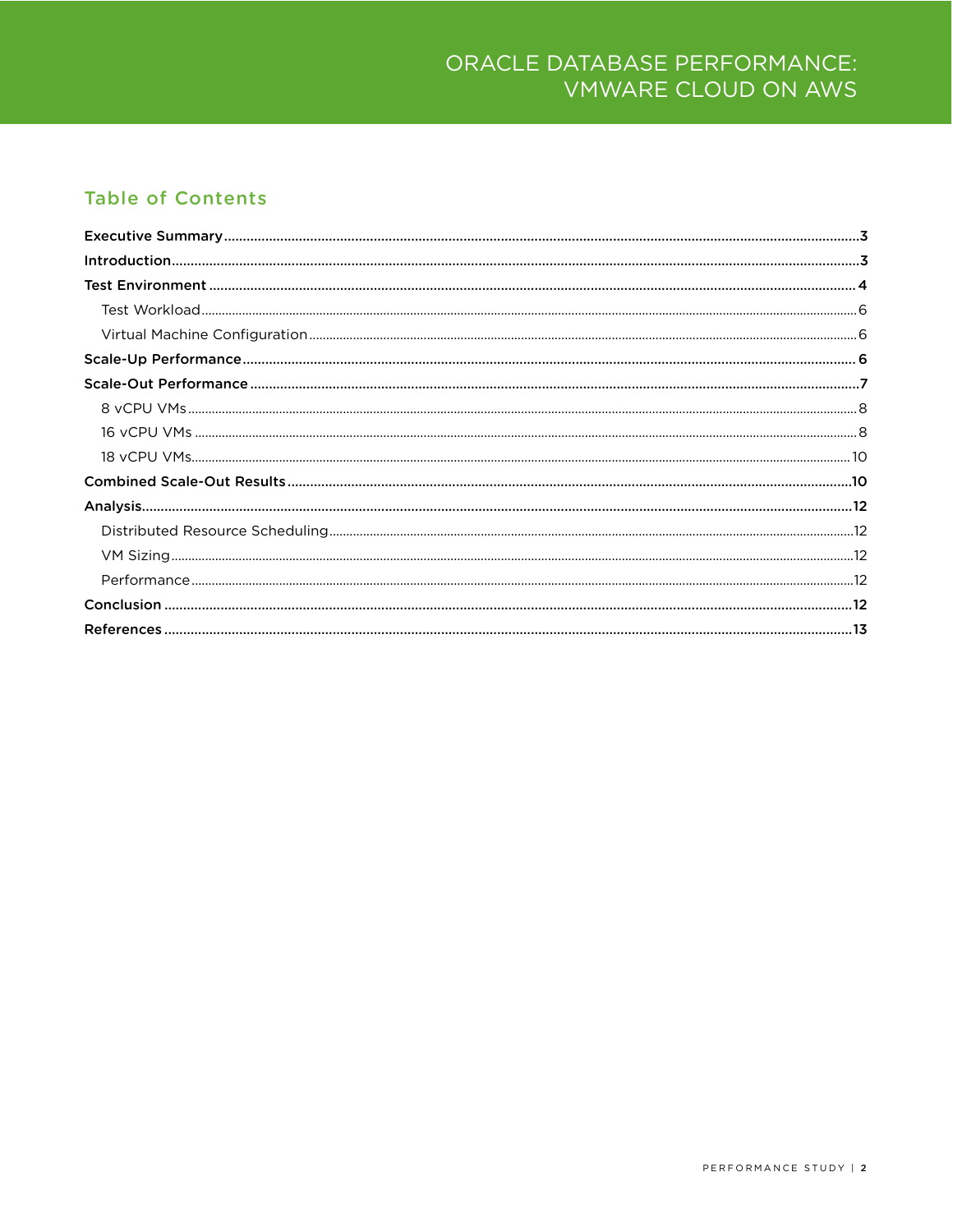#### **Table of Contents**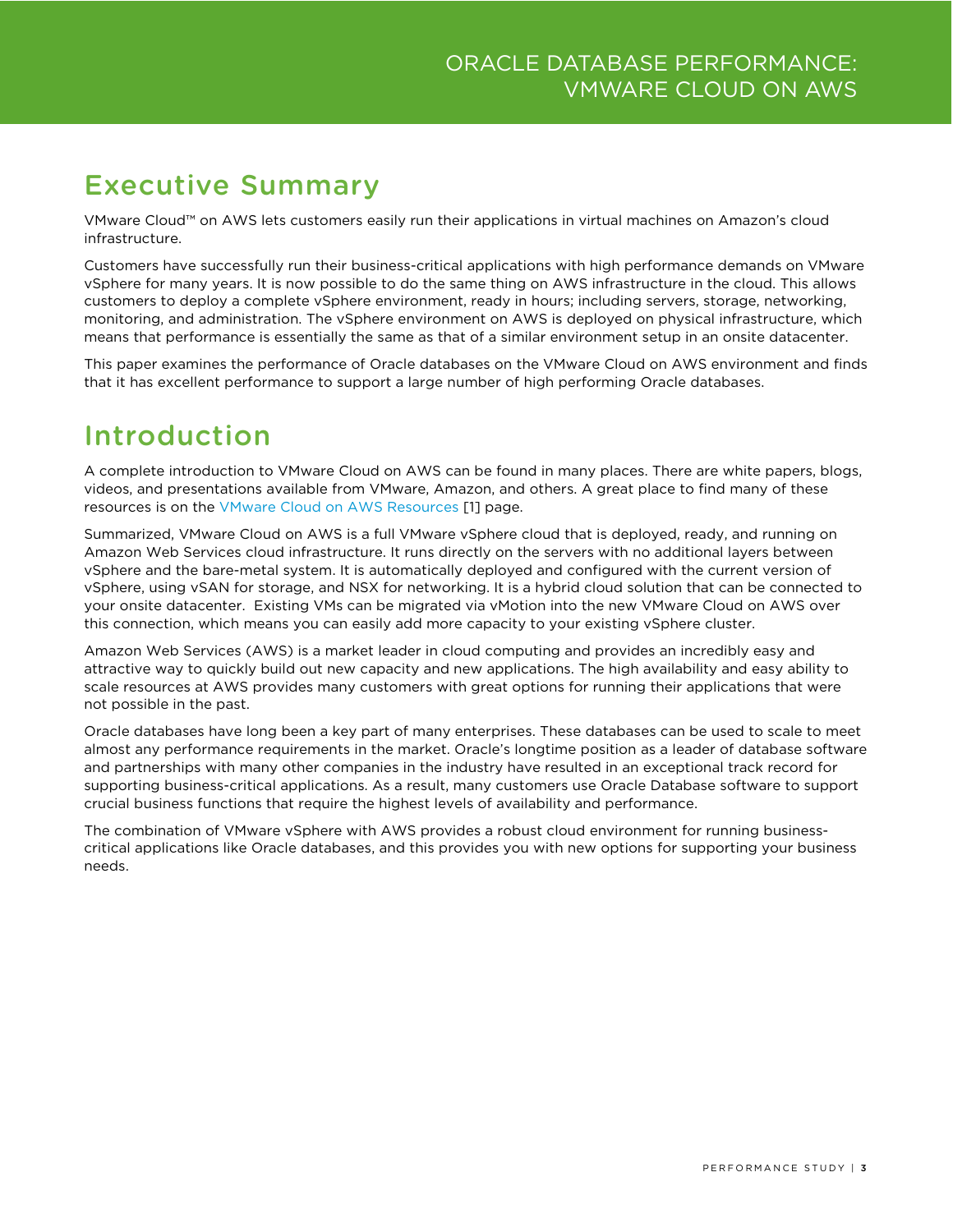# <span id="page-2-0"></span>Executive Summary

VMware Cloud™ on AWS lets customers easily run their applications in virtual machines on Amazon's cloud infrastructure.

Customers have successfully run their business-critical applications with high performance demands on VMware vSphere for many years. It is now possible to do the same thing on AWS infrastructure in the cloud. This allows customers to deploy a complete vSphere environment, ready in hours; including servers, storage, networking, monitoring, and administration. The vSphere environment on AWS is deployed on physical infrastructure, which means that performance is essentially the same as that of a similar environment setup in an onsite datacenter.

This paper examines the performance of Oracle databases on the VMware Cloud on AWS environment and finds that it has excellent performance to support a large number of high performing Oracle databases.

# <span id="page-2-1"></span>Introduction

A complete introduction to VMware Cloud on AWS can be found in many places. There are white papers, blogs, videos, and presentations available from VMware, Amazon, and others. A great place to find many of these resources is on the [VMware Cloud on AWS](https://cloud.vmware.com/vmc-aws/resources) Resources [1] page.

Summarized, VMware Cloud on AWS is a full VMware vSphere cloud that is deployed, ready, and running on Amazon Web Services cloud infrastructure. It runs directly on the servers with no additional layers between vSphere and the bare-metal system. It is automatically deployed and configured with the current version of vSphere, using vSAN for storage, and NSX for networking. It is a hybrid cloud solution that can be connected to your onsite datacenter. Existing VMs can be migrated via vMotion into the new VMware Cloud on AWS over this connection, which means you can easily add more capacity to your existing vSphere cluster.

Amazon Web Services (AWS) is a market leader in cloud computing and provides an incredibly easy and attractive way to quickly build out new capacity and new applications. The high availability and easy ability to scale resources at AWS provides many customers with great options for running their applications that were not possible in the past.

Oracle databases have long been a key part of many enterprises. These databases can be used to scale to meet almost any performance requirements in the market. Oracle's longtime position as a leader of database software and partnerships with many other companies in the industry have resulted in an exceptional track record for supporting business-critical applications. As a result, many customers use Oracle Database software to support crucial business functions that require the highest levels of availability and performance.

The combination of VMware vSphere with AWS provides a robust cloud environment for running businesscritical applications like Oracle databases, and this provides you with new options for supporting your business needs.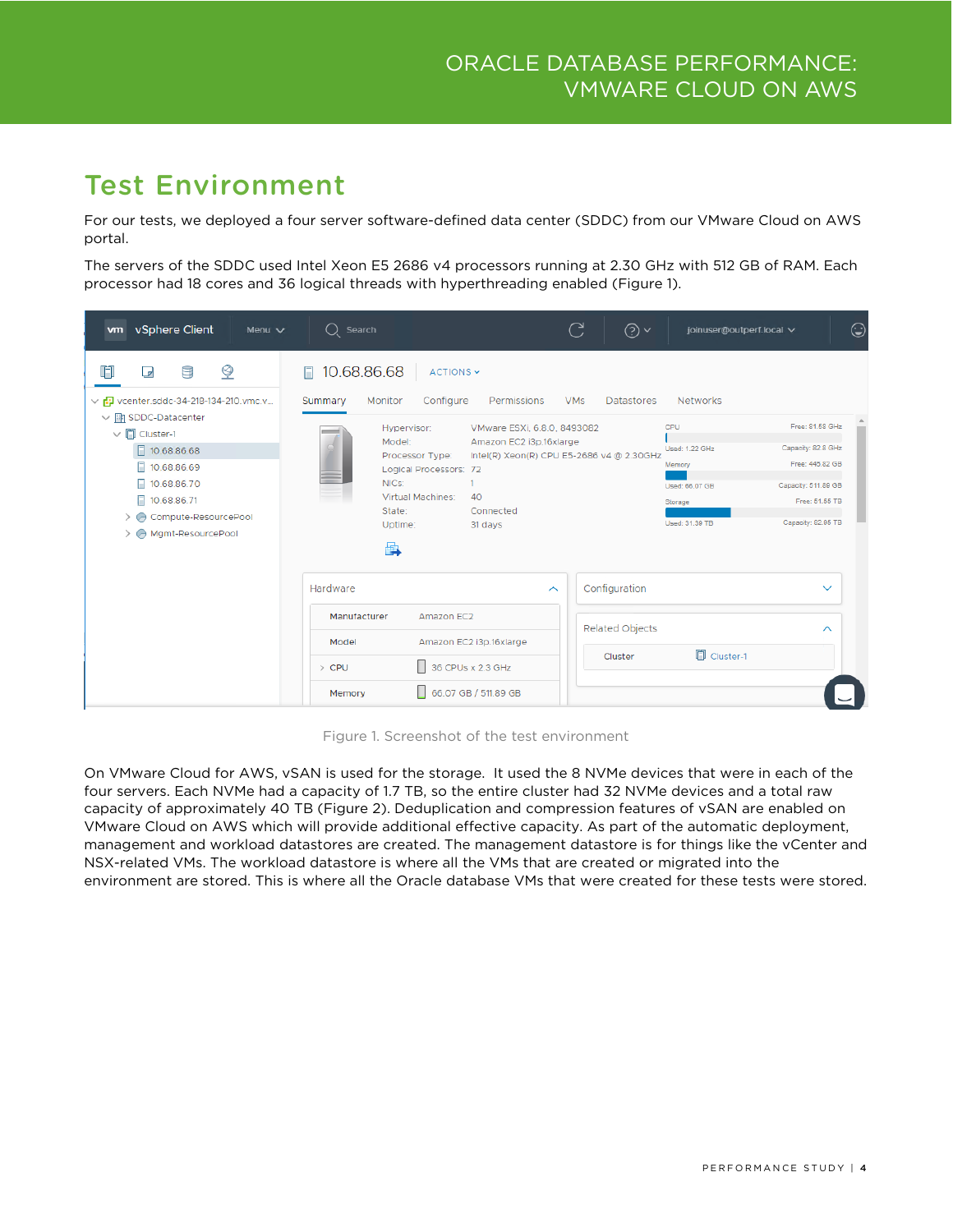# <span id="page-3-0"></span>Test Environment

For our tests, we deployed a four server software-defined data center (SDDC) from our VMware Cloud on AWS portal.

The servers of the SDDC used Intel Xeon E5 2686 v4 processors running at 2.30 GHz with 512 GB of RAM. Each processor had 18 cores and 36 logical threads with hyperthreading enabled (Figure 1).

| vSphere Client<br>Menu $\vee$<br><b>vm</b>                                                                                                                                                                                                         | $\bigcirc$ Search                                                                                                                                                                                                                                                                                       | C<br>⊚∽                                                                      | joinuser@outperf.local V                                                                                                                                                                                                     | ☺ |
|----------------------------------------------------------------------------------------------------------------------------------------------------------------------------------------------------------------------------------------------------|---------------------------------------------------------------------------------------------------------------------------------------------------------------------------------------------------------------------------------------------------------------------------------------------------------|------------------------------------------------------------------------------|------------------------------------------------------------------------------------------------------------------------------------------------------------------------------------------------------------------------------|---|
| Ģ<br>9<br>☑<br>v rD vcenter.sddc-34-218-134-210.vmc.v<br>$\vee$ <b>In</b> SDDC-Datacenter<br>$\vee$ [ Cluster-1<br>□ 10.68.86.68<br>10.68.86.69<br>F.<br>F.<br>10.68.86.70<br>10.68.86.71<br>п<br>Compute-ResourcePool<br>A Mgmt-ResourcePool<br>⋋ | 10.68.86.68<br>ACTIONS ~<br>Configure<br>Monitor<br>Permissions<br>Summary<br>VMware ESXi, 6.8.0, 8493082<br>Hypervisor:<br>Amazon EC2 i3p.16xlarge<br>Model:<br>Processor Type:<br>Logical Processors: 72<br>NICs:<br><b>Virtual Machines:</b><br>40<br>State:<br>Connected<br>Uptime:<br>31 days<br>曡 | <b>VMs</b><br><b>Datastores</b><br>Intel(R) Xeon(R) CPU E5-2686 v4 @ 2.30GHz | <b>Networks</b><br>Free: 81.58 GHz<br>CPU<br>Capacity: 82.8 GHz<br>Used: 1.22 GHz<br>Free: 445.82 GB<br>Memory<br>Capacity: 511.89 GB<br>Used: 66.07 GB<br>Free: 51.55 TB<br>Storage<br>Capacity: 82.95 TB<br>Used: 31.39 TB |   |
|                                                                                                                                                                                                                                                    | Hardware                                                                                                                                                                                                                                                                                                | Configuration<br>$\widehat{\phantom{a}}$                                     | $\checkmark$                                                                                                                                                                                                                 |   |
|                                                                                                                                                                                                                                                    | Manufacturer<br>Amazon EC2<br>Amazon EC2 i3p.16xlarge<br>Model                                                                                                                                                                                                                                          | <b>Related Objects</b>                                                       | ᄉ                                                                                                                                                                                                                            |   |
|                                                                                                                                                                                                                                                    | 36 CPUs x 2.3 GHz<br>$\angle$ CPU                                                                                                                                                                                                                                                                       | Cluster                                                                      | <b>同</b> Cluster-1                                                                                                                                                                                                           |   |
|                                                                                                                                                                                                                                                    | 66.07 GB / 511.89 GB<br>Memory                                                                                                                                                                                                                                                                          |                                                                              |                                                                                                                                                                                                                              |   |

Figure 1. Screenshot of the test environment

On VMware Cloud for AWS, vSAN is used for the storage. It used the 8 NVMe devices that were in each of the four servers. Each NVMe had a capacity of 1.7 TB, so the entire cluster had 32 NVMe devices and a total raw capacity of approximately 40 TB (Figure 2). Deduplication and compression features of vSAN are enabled on VMware Cloud on AWS which will provide additional effective capacity. As part of the automatic deployment, management and workload datastores are created. The management datastore is for things like the vCenter and NSX-related VMs. The workload datastore is where all the VMs that are created or migrated into the environment are stored. This is where all the Oracle database VMs that were created for these tests were stored.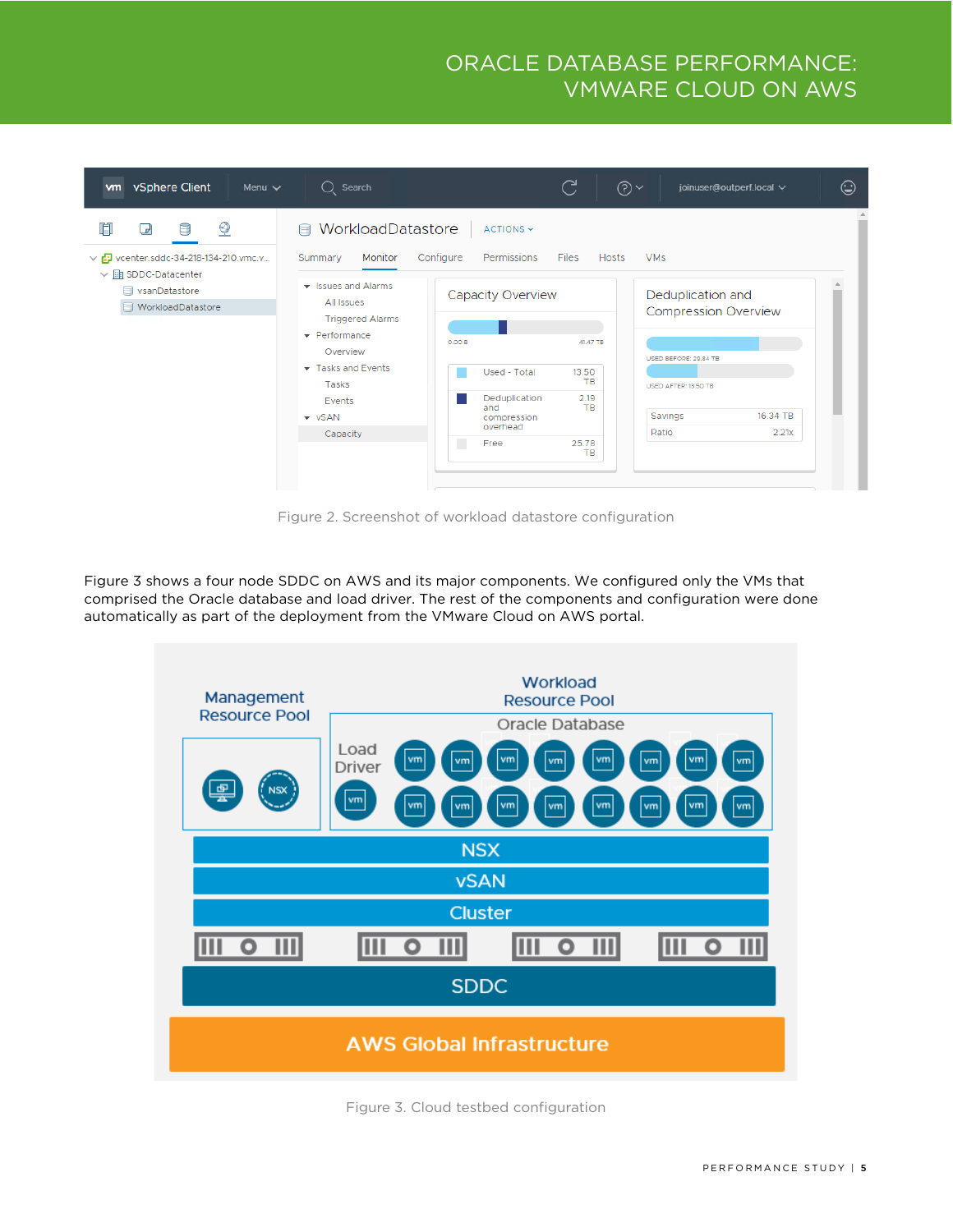

Figure 2. Screenshot of workload datastore configuration

Figure 3 shows a four node SDDC on AWS and its major components. We configured only the VMs that comprised the Oracle database and load driver. The rest of the components and configuration were done automatically as part of the deployment from the VMware Cloud on AWS portal.



Figure 3. Cloud testbed configuration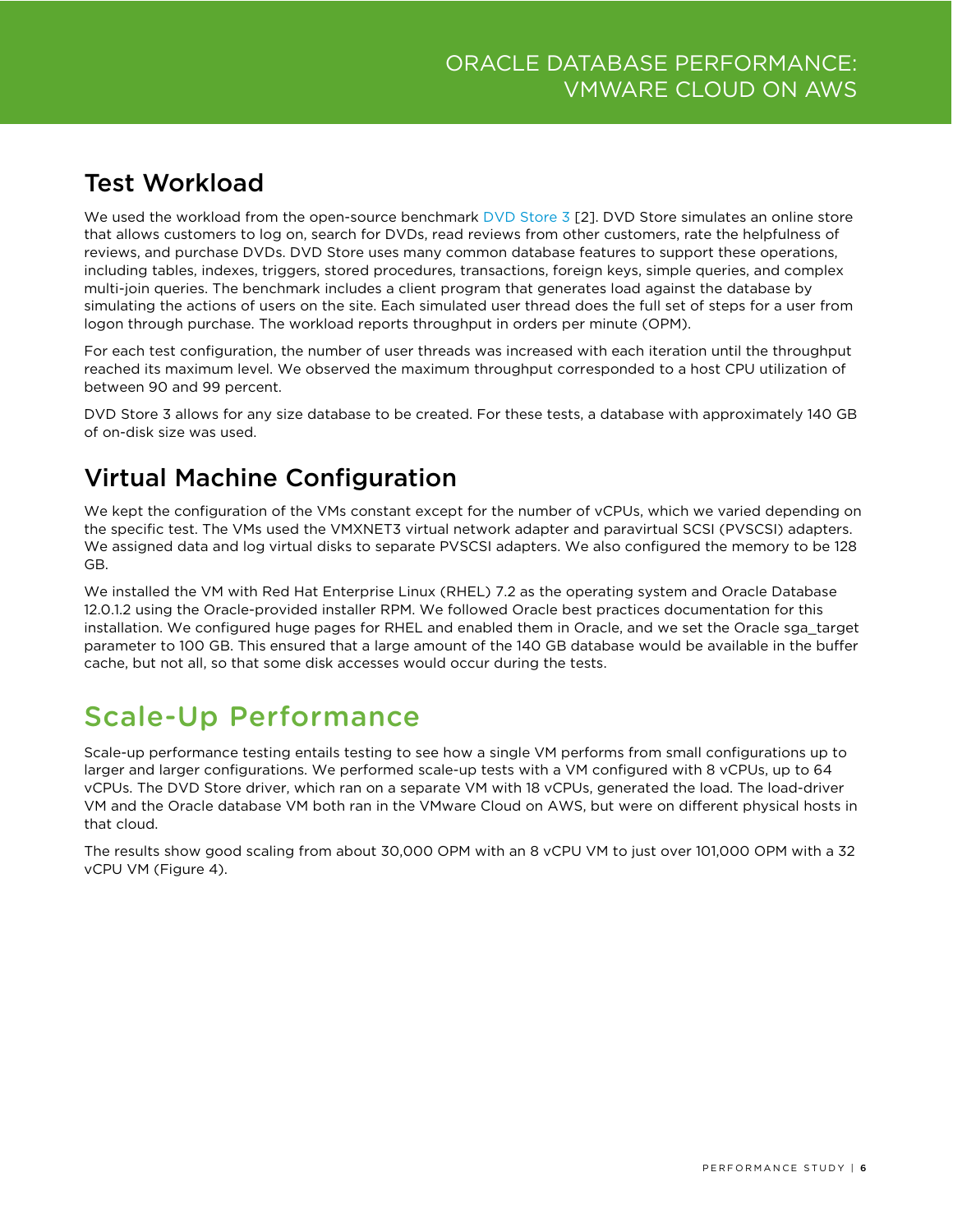### <span id="page-5-0"></span>Test Workload

We used the workload from the open-source benchmark [DVD Store 3](http://www.github.com/dvdstore/ds3) [2]. DVD Store simulates an online store that allows customers to log on, search for DVDs, read reviews from other customers, rate the helpfulness of reviews, and purchase DVDs. DVD Store uses many common database features to support these operations, including tables, indexes, triggers, stored procedures, transactions, foreign keys, simple queries, and complex multi-join queries. The benchmark includes a client program that generates load against the database by simulating the actions of users on the site. Each simulated user thread does the full set of steps for a user from logon through purchase. The workload reports throughput in orders per minute (OPM).

For each test configuration, the number of user threads was increased with each iteration until the throughput reached its maximum level. We observed the maximum throughput corresponded to a host CPU utilization of between 90 and 99 percent.

DVD Store 3 allows for any size database to be created. For these tests, a database with approximately 140 GB of on-disk size was used.

### <span id="page-5-1"></span>Virtual Machine Configuration

We kept the configuration of the VMs constant except for the number of vCPUs, which we varied depending on the specific test. The VMs used the VMXNET3 virtual network adapter and paravirtual SCSI (PVSCSI) adapters. We assigned data and log virtual disks to separate PVSCSI adapters. We also configured the memory to be 128 GB.

We installed the VM with Red Hat Enterprise Linux (RHEL) 7.2 as the operating system and Oracle Database 12.0.1.2 using the Oracle-provided installer RPM. We followed Oracle best practices documentation for this installation. We configured huge pages for RHEL and enabled them in Oracle, and we set the Oracle sga\_target parameter to 100 GB. This ensured that a large amount of the 140 GB database would be available in the buffer cache, but not all, so that some disk accesses would occur during the tests.

# <span id="page-5-2"></span>Scale-Up Performance

Scale-up performance testing entails testing to see how a single VM performs from small configurations up to larger and larger configurations. We performed scale-up tests with a VM configured with 8 vCPUs, up to 64 vCPUs. The DVD Store driver, which ran on a separate VM with 18 vCPUs, generated the load. The load-driver VM and the Oracle database VM both ran in the VMware Cloud on AWS, but were on different physical hosts in that cloud.

The results show good scaling from about 30,000 OPM with an 8 vCPU VM to just over 101,000 OPM with a 32 vCPU VM (Figure 4).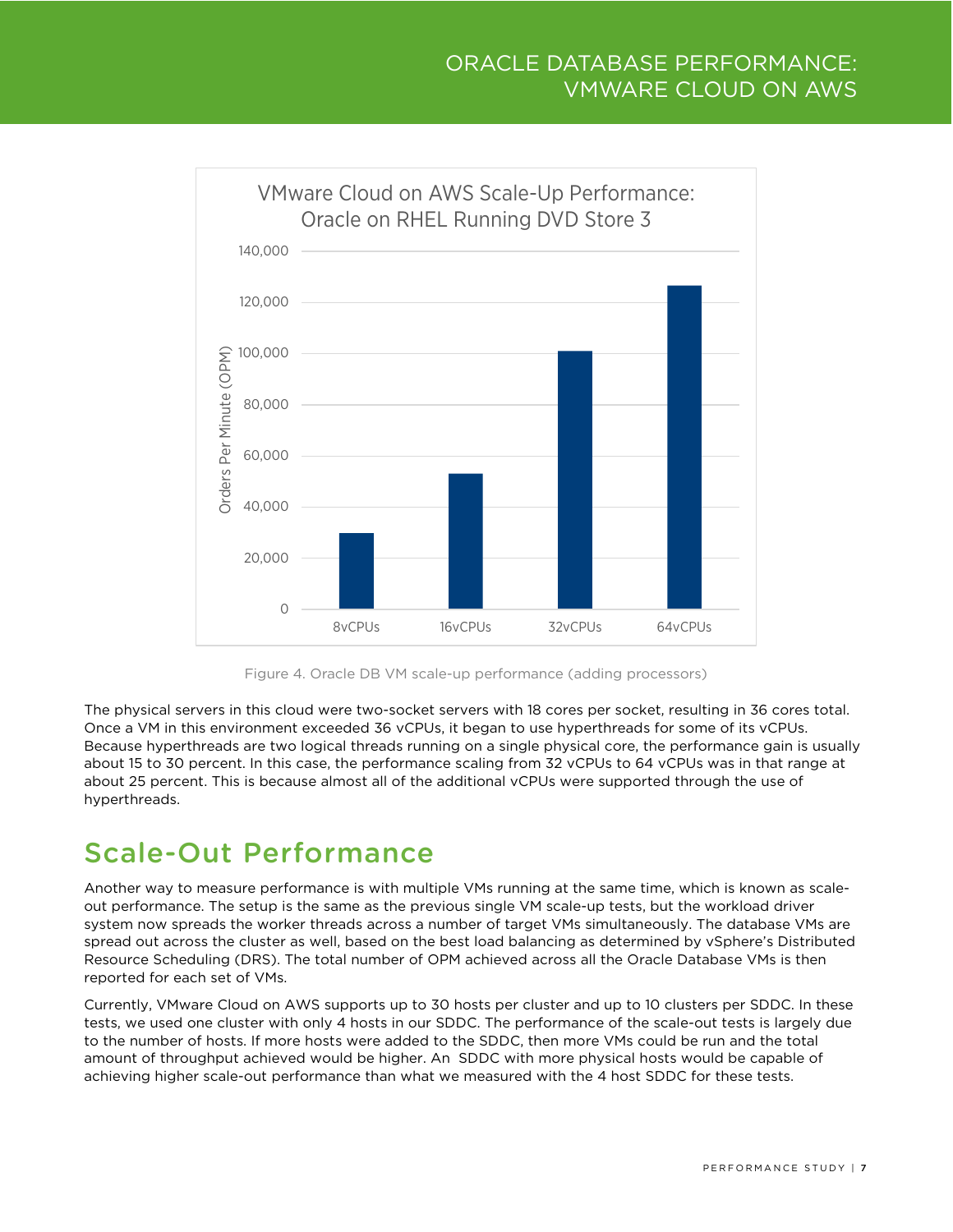



The physical servers in this cloud were two-socket servers with 18 cores per socket, resulting in 36 cores total. Once a VM in this environment exceeded 36 vCPUs, it began to use hyperthreads for some of its vCPUs. Because hyperthreads are two logical threads running on a single physical core, the performance gain is usually about 15 to 30 percent. In this case, the performance scaling from 32 vCPUs to 64 vCPUs was in that range at about 25 percent. This is because almost all of the additional vCPUs were supported through the use of hyperthreads.

# <span id="page-6-0"></span>Scale-Out Performance

Another way to measure performance is with multiple VMs running at the same time, which is known as scaleout performance. The setup is the same as the previous single VM scale-up tests, but the workload driver system now spreads the worker threads across a number of target VMs simultaneously. The database VMs are spread out across the cluster as well, based on the best load balancing as determined by vSphere's Distributed Resource Scheduling (DRS). The total number of OPM achieved across all the Oracle Database VMs is then reported for each set of VMs.

Currently, VMware Cloud on AWS supports up to 30 hosts per cluster and up to 10 clusters per SDDC. In these tests, we used one cluster with only 4 hosts in our SDDC. The performance of the scale-out tests is largely due to the number of hosts. If more hosts were added to the SDDC, then more VMs could be run and the total amount of throughput achieved would be higher. An SDDC with more physical hosts would be capable of achieving higher scale-out performance than what we measured with the 4 host SDDC for these tests.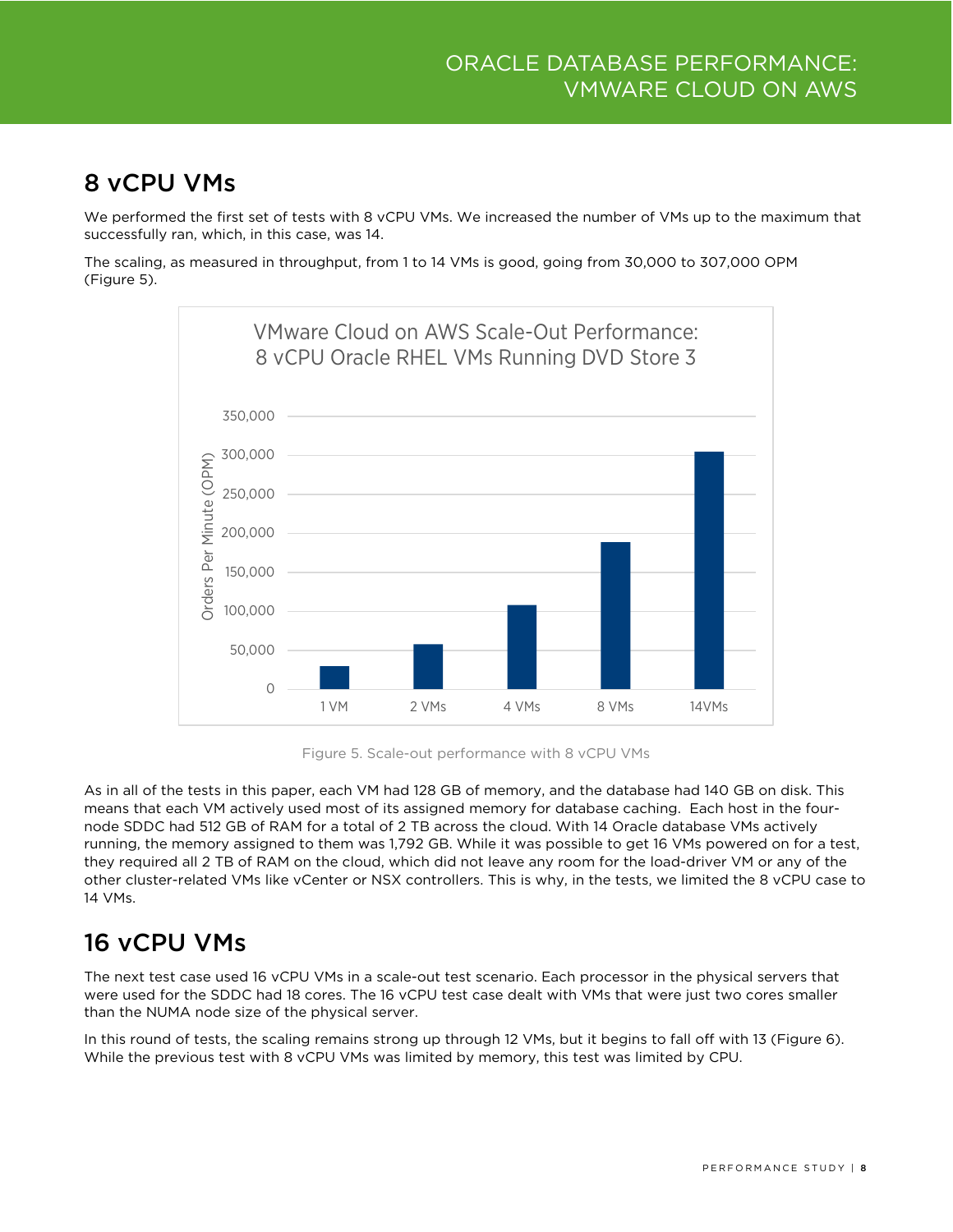#### <span id="page-7-0"></span>8 vCPU VMs

We performed the first set of tests with 8 vCPU VMs. We increased the number of VMs up to the maximum that successfully ran, which, in this case, was 14.

The scaling, as measured in throughput, from 1 to 14 VMs is good, going from 30,000 to 307,000 OPM (Figure 5).



Figure 5. Scale-out performance with 8 vCPU VMs

As in all of the tests in this paper, each VM had 128 GB of memory, and the database had 140 GB on disk. This means that each VM actively used most of its assigned memory for database caching. Each host in the fournode SDDC had 512 GB of RAM for a total of 2 TB across the cloud. With 14 Oracle database VMs actively running, the memory assigned to them was 1,792 GB. While it was possible to get 16 VMs powered on for a test, they required all 2 TB of RAM on the cloud, which did not leave any room for the load-driver VM or any of the other cluster-related VMs like vCenter or NSX controllers. This is why, in the tests, we limited the 8 vCPU case to 14 VMs.

### <span id="page-7-1"></span>16 vCPU VMs

The next test case used 16 vCPU VMs in a scale-out test scenario. Each processor in the physical servers that were used for the SDDC had 18 cores. The 16 vCPU test case dealt with VMs that were just two cores smaller than the NUMA node size of the physical server.

In this round of tests, the scaling remains strong up through 12 VMs, but it begins to fall off with 13 (Figure 6). While the previous test with 8 vCPU VMs was limited by memory, this test was limited by CPU.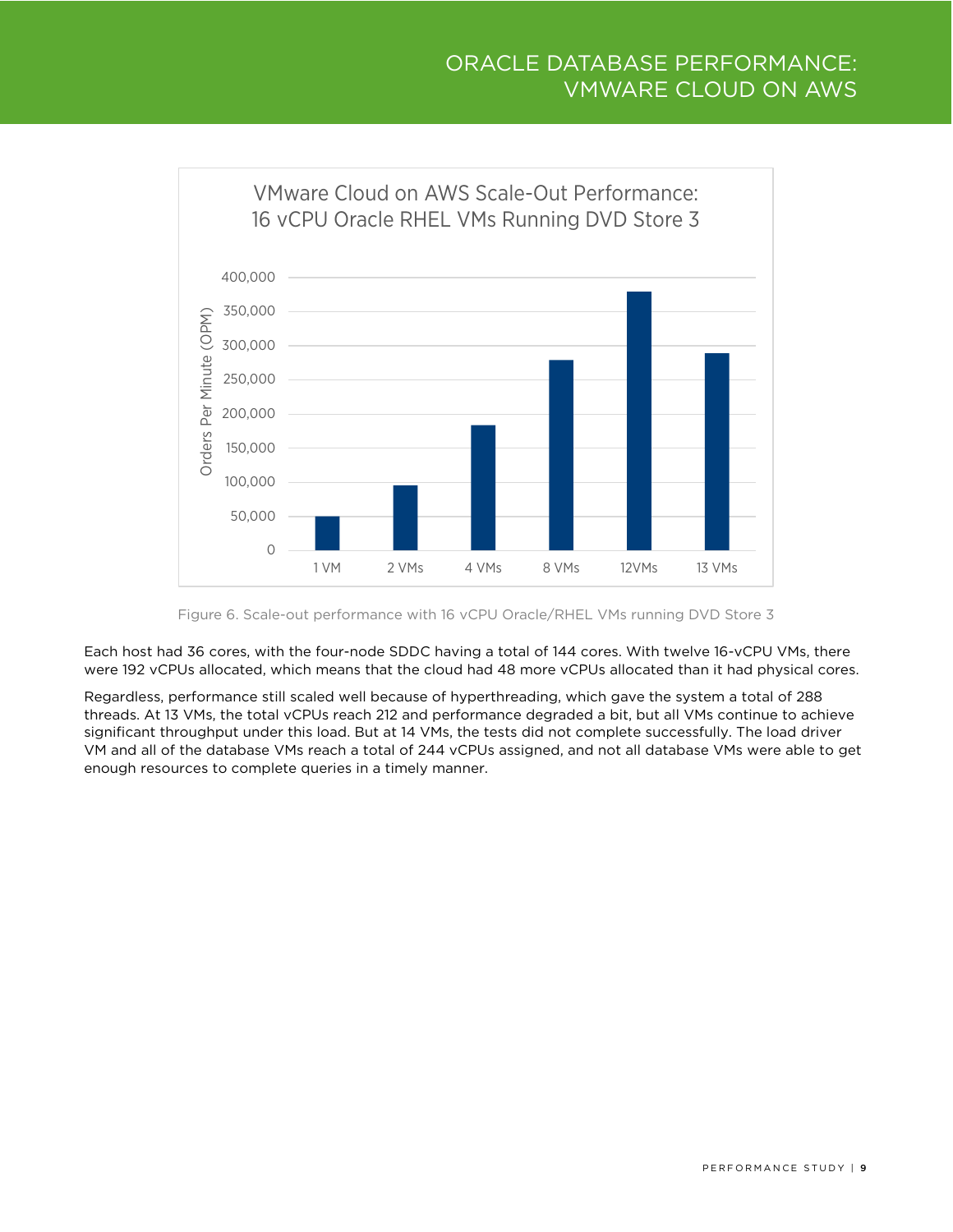

Figure 6. Scale-out performance with 16 vCPU Oracle/RHEL VMs running DVD Store 3

Each host had 36 cores, with the four-node SDDC having a total of 144 cores. With twelve 16-vCPU VMs, there were 192 vCPUs allocated, which means that the cloud had 48 more vCPUs allocated than it had physical cores.

<span id="page-8-0"></span>Regardless, performance still scaled well because of hyperthreading, which gave the system a total of 288 threads. At 13 VMs, the total vCPUs reach 212 and performance degraded a bit, but all VMs continue to achieve significant throughput under this load. But at 14 VMs, the tests did not complete successfully. The load driver VM and all of the database VMs reach a total of 244 vCPUs assigned, and not all database VMs were able to get enough resources to complete queries in a timely manner.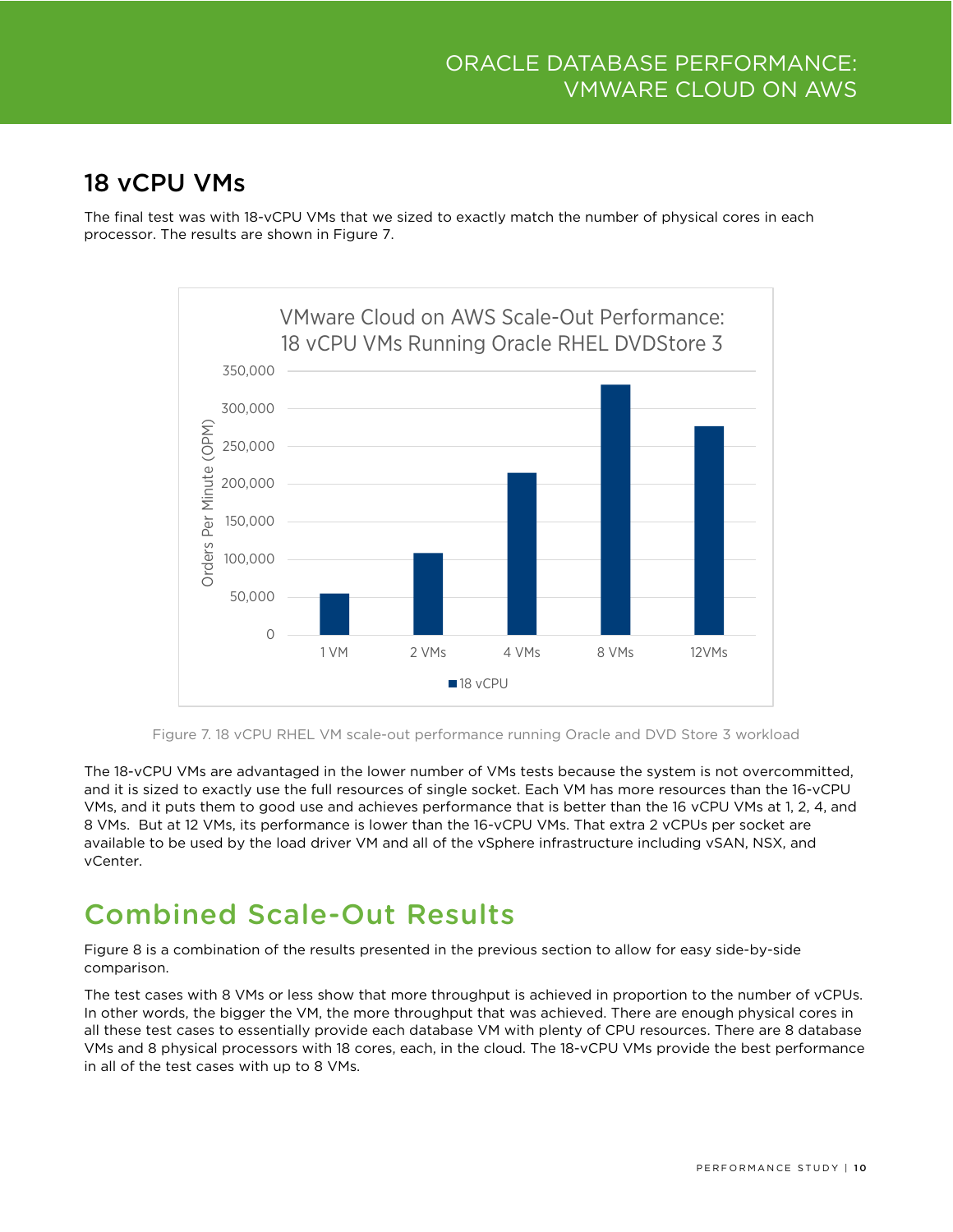#### 18 vCPU VMs

The final test was with 18-vCPU VMs that we sized to exactly match the number of physical cores in each processor. The results are shown in Figure 7.



Figure 7. 18 vCPU RHEL VM scale-out performance running Oracle and DVD Store 3 workload

The 18-vCPU VMs are advantaged in the lower number of VMs tests because the system is not overcommitted, and it is sized to exactly use the full resources of single socket. Each VM has more resources than the 16-vCPU VMs, and it puts them to good use and achieves performance that is better than the 16 vCPU VMs at 1, 2, 4, and 8 VMs. But at 12 VMs, its performance is lower than the 16-vCPU VMs. That extra 2 vCPUs per socket are available to be used by the load driver VM and all of the vSphere infrastructure including vSAN, NSX, and vCenter.

# <span id="page-9-0"></span>Combined Scale-Out Results

Figure 8 is a combination of the results presented in the previous section to allow for easy side-by-side comparison.

The test cases with 8 VMs or less show that more throughput is achieved in proportion to the number of vCPUs. In other words, the bigger the VM, the more throughput that was achieved. There are enough physical cores in all these test cases to essentially provide each database VM with plenty of CPU resources. There are 8 database VMs and 8 physical processors with 18 cores, each, in the cloud. The 18-vCPU VMs provide the best performance in all of the test cases with up to 8 VMs.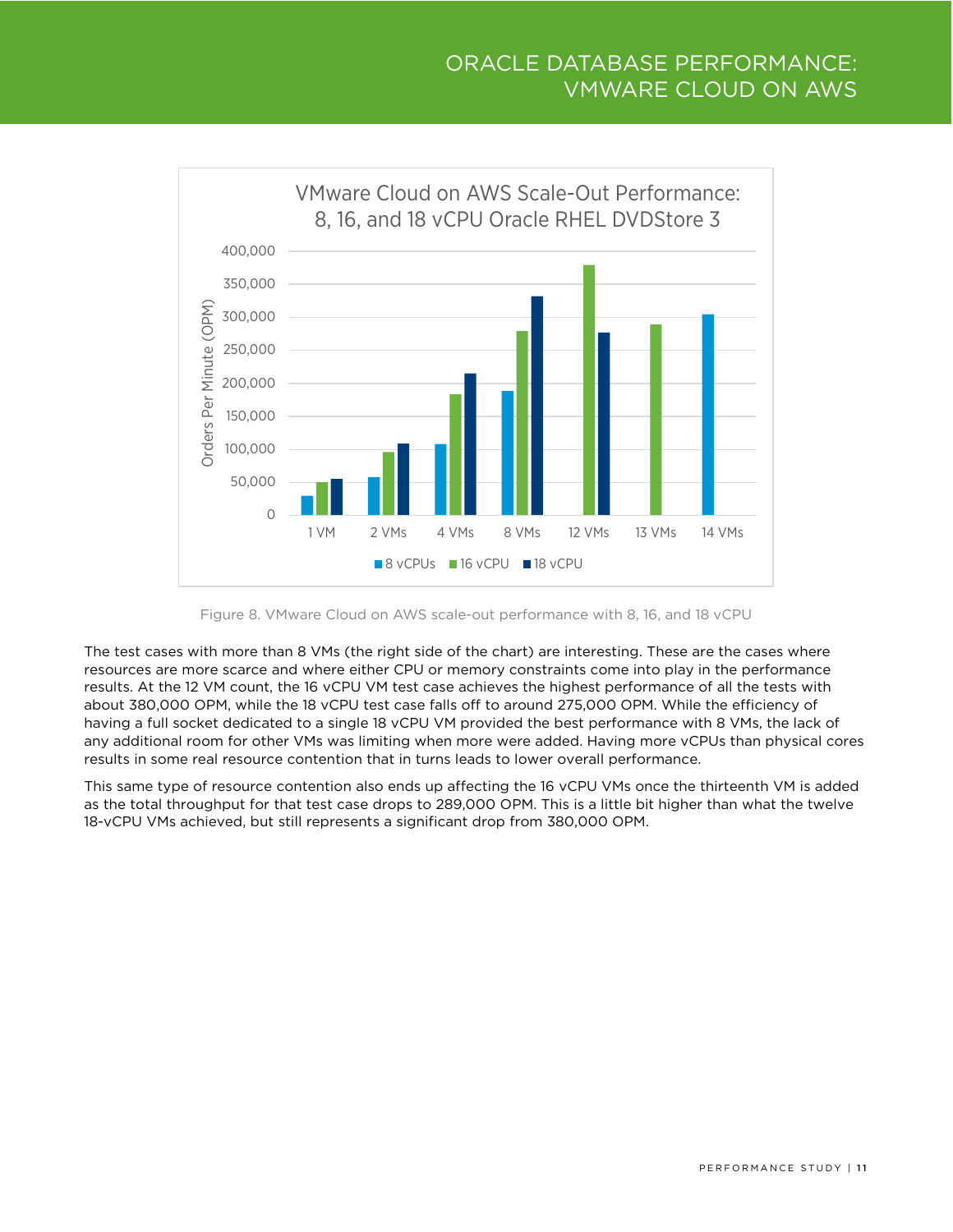

Figure 8. VMware Cloud on AWS scale-out performance with 8, 16, and 18 vCPU

The test cases with more than 8 VMs (the right side of the chart) are interesting. These are the cases where resources are more scarce and where either CPU or memory constraints come into play in the performance results. At the 12 VM count, the 16 vCPU VM test case achieves the highest performance of all the tests with about 380,000 OPM, while the 18 vCPU test case falls off to around 275,000 OPM. While the efficiency of having a full socket dedicated to a single 18 vCPU VM provided the best performance with 8 VMs, the lack of any additional room for other VMs was limiting when more were added. Having more vCPUs than physical cores results in some real resource contention that in turns leads to lower overall performance.

This same type of resource contention also ends up affecting the 16 vCPU VMs once the thirteenth VM is added as the total throughput for that test case drops to 289,000 OPM. This is a little bit higher than what the twelve 18-vCPU VMs achieved, but still represents a significant drop from 380,000 OPM.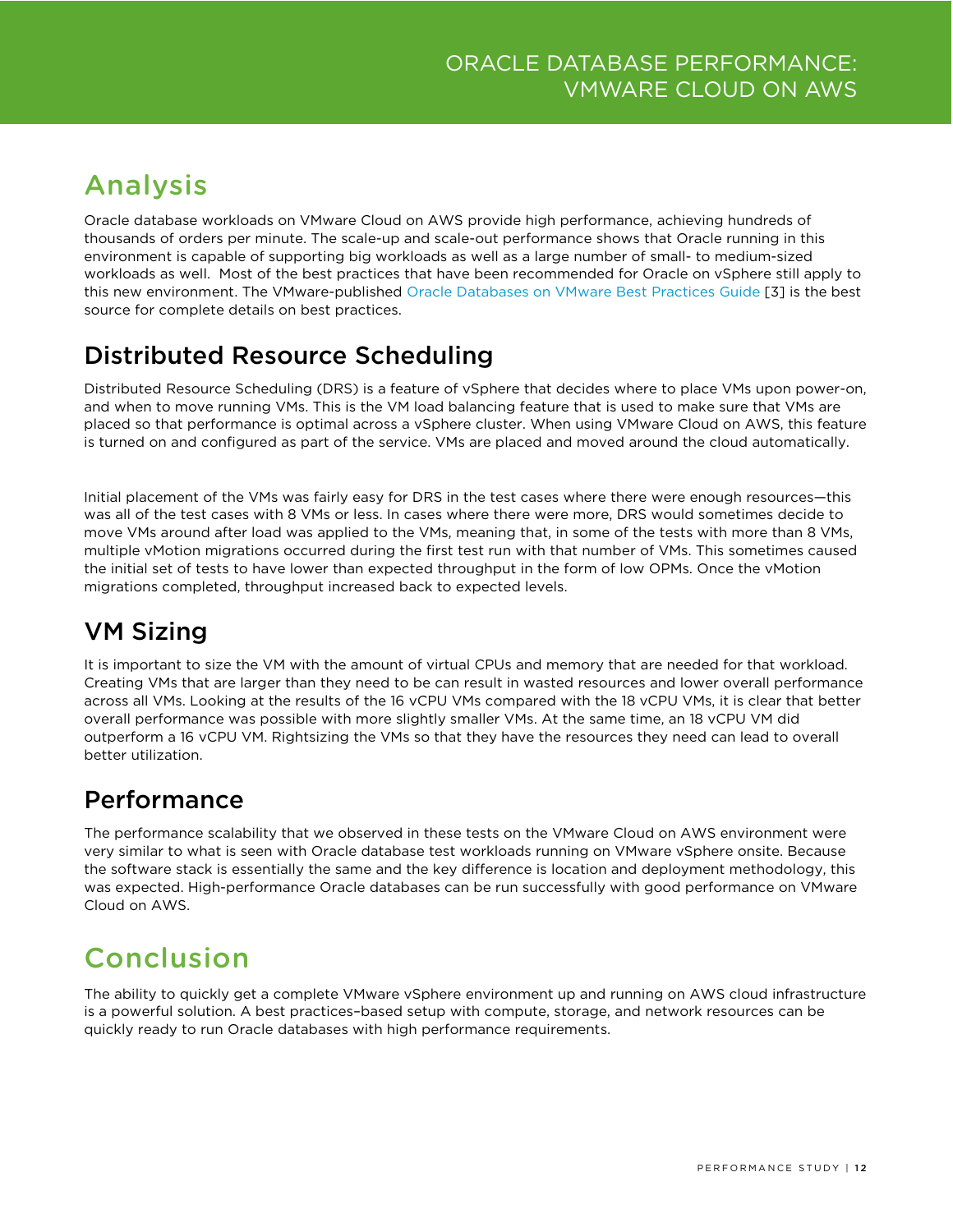# <span id="page-11-0"></span>Analysis

Oracle database workloads on VMware Cloud on AWS provide high performance, achieving hundreds of thousands of orders per minute. The scale-up and scale-out performance shows that Oracle running in this environment is capable of supporting big workloads as well as a large number of small- to medium-sized workloads as well. Most of the best practices that have been recommended for Oracle on vSphere still apply to this new environment. The VMware-published [Oracle Databases on VMware Best Practices Guide](https://www.vmware.com/content/dam/digitalmarketing/vmware/en/pdf/solutions/vmware-oracle-databases-on-vmware-best-practices-guide.pdf) [3] is the best source for complete details on best practices.

### <span id="page-11-1"></span>Distributed Resource Scheduling

Distributed Resource Scheduling (DRS) is a feature of vSphere that decides where to place VMs upon power-on, and when to move running VMs. This is the VM load balancing feature that is used to make sure that VMs are placed so that performance is optimal across a vSphere cluster. When using VMware Cloud on AWS, this feature is turned on and configured as part of the service. VMs are placed and moved around the cloud automatically.

Initial placement of the VMs was fairly easy for DRS in the test cases where there were enough resources—this was all of the test cases with 8 VMs or less. In cases where there were more, DRS would sometimes decide to move VMs around after load was applied to the VMs, meaning that, in some of the tests with more than 8 VMs, multiple vMotion migrations occurred during the first test run with that number of VMs. This sometimes caused the initial set of tests to have lower than expected throughput in the form of low OPMs. Once the vMotion migrations completed, throughput increased back to expected levels.

### <span id="page-11-2"></span>VM Sizing

It is important to size the VM with the amount of virtual CPUs and memory that are needed for that workload. Creating VMs that are larger than they need to be can result in wasted resources and lower overall performance across all VMs. Looking at the results of the 16 vCPU VMs compared with the 18 vCPU VMs, it is clear that better overall performance was possible with more slightly smaller VMs. At the same time, an 18 vCPU VM did outperform a 16 vCPU VM. Rightsizing the VMs so that they have the resources they need can lead to overall better utilization.

### <span id="page-11-3"></span>Performance

The performance scalability that we observed in these tests on the VMware Cloud on AWS environment were very similar to what is seen with Oracle database test workloads running on VMware vSphere onsite. Because the software stack is essentially the same and the key difference is location and deployment methodology, this was expected. High-performance Oracle databases can be run successfully with good performance on VMware Cloud on AWS.

# <span id="page-11-4"></span>Conclusion

The ability to quickly get a complete VMware vSphere environment up and running on AWS cloud infrastructure is a powerful solution. A best practices–based setup with compute, storage, and network resources can be quickly ready to run Oracle databases with high performance requirements.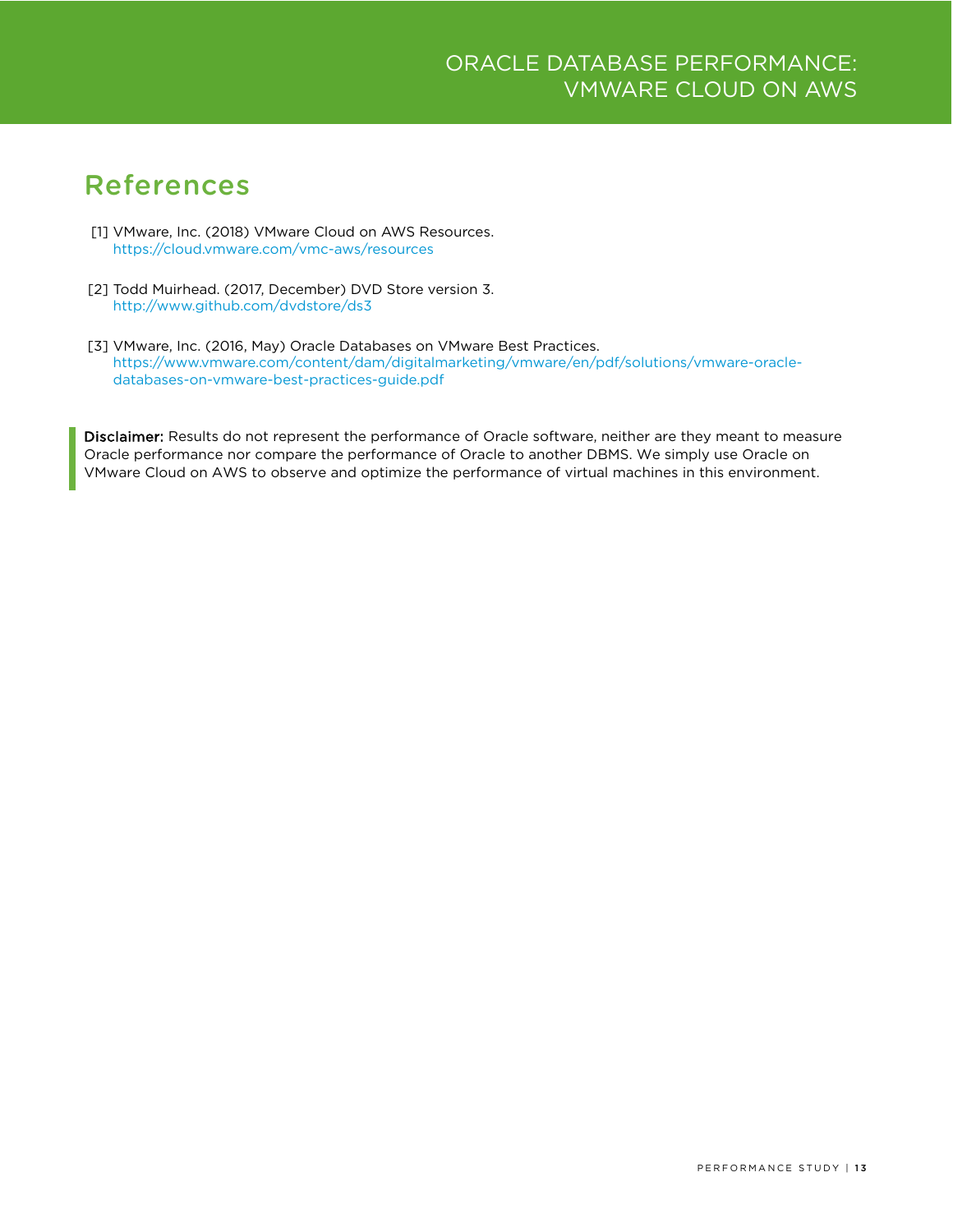## <span id="page-12-0"></span>References

- [1] VMware, Inc. (2018) VMware Cloud on AWS Resources. <https://cloud.vmware.com/vmc-aws/resources>
- [2] Todd Muirhead. (2017, December) DVD Store version 3. <http://www.github.com/dvdstore/ds3>
- [3] VMware, Inc. (2016, May) Oracle Databases on VMware Best Practices. [https://www.vmware.com/content/dam/digitalmarketing/vmware/en/pdf/solutions/vmware-oracle](https://www.vmware.com/content/dam/digitalmarketing/vmware/en/pdf/solutions/vmware-oracle-databases-on-vmware-best-practices-guide.pdf)[databases-on-vmware-best-practices-guide.pdf](https://www.vmware.com/content/dam/digitalmarketing/vmware/en/pdf/solutions/vmware-oracle-databases-on-vmware-best-practices-guide.pdf)

Disclaimer: Results do not represent the performance of Oracle software, neither are they meant to measure Oracle performance nor compare the performance of Oracle to another DBMS. We simply use Oracle on VMware Cloud on AWS to observe and optimize the performance of virtual machines in this environment.